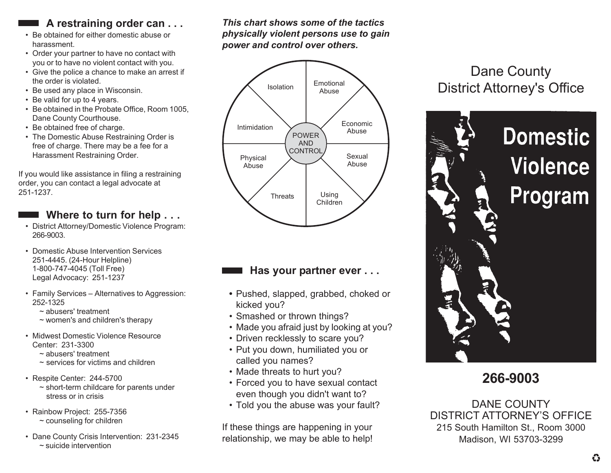## **A restraining order can . . .**

- Be obtained for either domestic abuse or harassment.
- Order your partner to have no contact with you or to have no violent contact with you.
- Give the police a chance to make an arrest if the order is violated.
- Be used any place in Wisconsin.
- Be valid for up to 4 years.
- Be obtained in the Probate Office, Room 1005, Dane County Courthouse.
- Be obtained free of charge.
- The Domestic Abuse Restraining Order is free of charge. There may be a fee for a Harassment Restraining Order.

If you would like assistance in filing a restraining order, you can contact a legal advocate at 251-1237.

#### **Where to turn for help . . .**

- District Attorney/Domestic Violence Program: 266-9003.
- Domestic Abuse Intervention Services 251-4445. (24-Hour Helpline) 1-800-747-4045 (Toll Free) Legal Advocacy: 251-1237
- Family Services Alternatives to Aggression: 252-1325
	- ~ abusers' treatment
	- ~ women's and children's therapy
- Midwest Domestic Violence Resource Center: 231-3300
	- ~ abusers' treatment
	- $\sim$  services for victims and children
- Respite Center: 244-5700
	- ~ short-term childcare for parents under stress or in crisis
- Rainbow Project: 255-7356  $\sim$  counseling for children
- Dane County Crisis Intervention: 231-2345 ~ suicide intervention

*This chart shows some of the tactics physically violent persons use to gain power and control over others.*



## **Has your partner ever . . .**

- **•** Pushed, slapped, grabbed, choked or kicked you?
- Smashed or thrown things?
- Made you afraid just by looking at you?
- Driven recklessly to scare you?
- Put you down, humiliated you or called you names?
- Made threats to hurt you?
- Forced you to have sexual contact even though you didn't want to?
- Told you the abuse was your fault?

If these things are happening in your relationship, we may be able to help!

# Dane County District Attorney's Office



**266-9003**

DANE COUNTY DISTRICT ATTORNEY'S OFFICE 215 South Hamilton St., Room 3000 Madison, WI 53703-3299